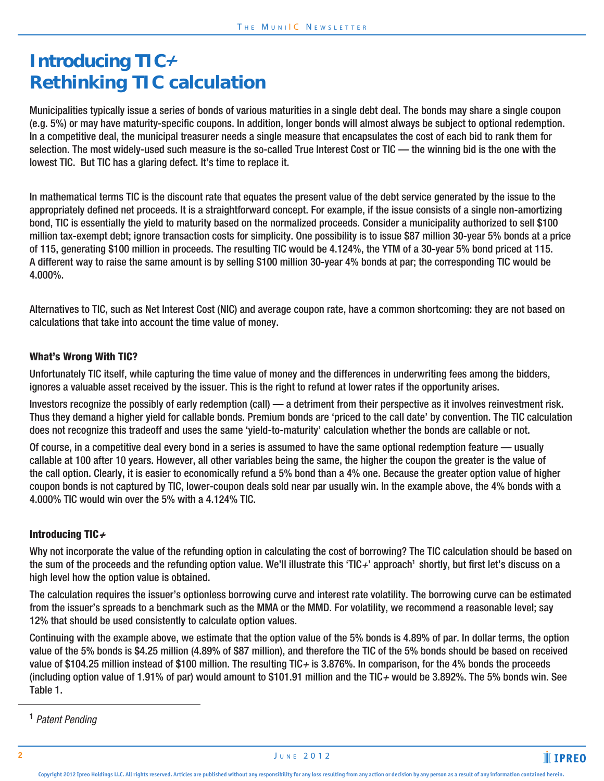# Introducing TIC+ **Rethinking TIC calculation**

Municipalities typically issue a series of bonds of various maturities in a single debt deal. The bonds may share a single coupon (e.g. 5%) or may have maturity-specific coupons. In addition, longer bonds will almost always be subject to optional redemption. In a competitive deal, the municipal treasurer needs a single measure that encapsulates the cost of each bid to rank them for selection. The most widely-used such measure is the so-called True Interest Cost or TIC — the winning bid is the one with the lowest TIC. But TIC has a glaring defect. It's time to replace it.

In mathematical terms TIC is the discount rate that equates the present value of the debt service generated by the issue to the appropriately defined net proceeds. It is a straightforward concept. For example, if the issue consists of a single non-amortizing bond, TIC is essentially the yield to maturity based on the normalized proceeds. Consider a municipality authorized to sell \$100 million tax-exempt debt; ignore transaction costs for simplicity. One possibility is to issue \$87 million 30-year 5% bonds at a price of 115, generating \$100 million in proceeds. The resulting TIC would be 4.124%, the YTM of a 30-year 5% bond priced at 115. A different way to raise the same amount is by selling \$100 million 30-year 4% bonds at par; the corresponding TIC would be 4.000%.

Alternatives to TIC, such as Net Interest Cost (NIC) and average coupon rate, have a common shortcoming: they are not based on calculations that take into account the time value of money.

# What's Wrong With TIC?

Unfortunately TIC itself, while capturing the time value of money and the differences in underwriting fees among the bidders, ignores a valuable asset received by the issuer. This is the right to refund at lower rates if the opportunity arises.

Investors recognize the possibly of early redemption (call) — a detriment from their perspective as it involves reinvestment risk. Thus they demand a higher yield for callable bonds. Premium bonds are 'priced to the call date' by convention. The TIC calculation does not recognize this tradeoff and uses the same 'yield-to-maturity' calculation whether the bonds are callable or not.

Of course, in a competitive deal every bond in a series is assumed to have the same optional redemption feature — usually callable at 100 after 10 years. However, all other variables being the same, the higher the coupon the greater is the value of the call option. Clearly, it is easier to economically refund a 5% bond than a 4% one. Because the greater option value of higher coupon bonds is not captured by TIC, lower-coupon deals sold near par usually win. In the example above, the 4% bonds with a 4.000% TIC would win over the 5% with a 4.124% TIC.

### Introducing TIC  $\div$

Why not incorporate the value of the refunding option in calculating the cost of borrowing? The TIC calculation should be based on the sum of the proceeds and the refunding option value. We'll illustrate this 'TIC+' approach' shortly, but first let's discuss on a high level how the option value is obtained.

The calculation requires the issuer's optionless borrowing curve and interest rate volatility. The borrowing curve can be estimated from the issuer's spreads to a benchmark such as the MMA or the MMD. For volatility, we recommend a reasonable level; say 12% that should be used consistently to calculate option values.

Continuing with the example above, we estimate that the option value of the 5% bonds is 4.89% of par. In dollar terms, the option value of the 5% bonds is \$4.25 million (4.89% of \$87 million), and therefore the TIC of the 5% bonds should be based on received value of \$104.25 million instead of \$100 million. The resulting TIC+ is 3.876%. In comparison, for the 4% bonds the proceeds (including option value of 1.91% of par) would amount to \$101.91 million and the TIC+ would be 3.892%. The 5% bonds win. See Table 1.

<sup>1</sup> Patent Pending